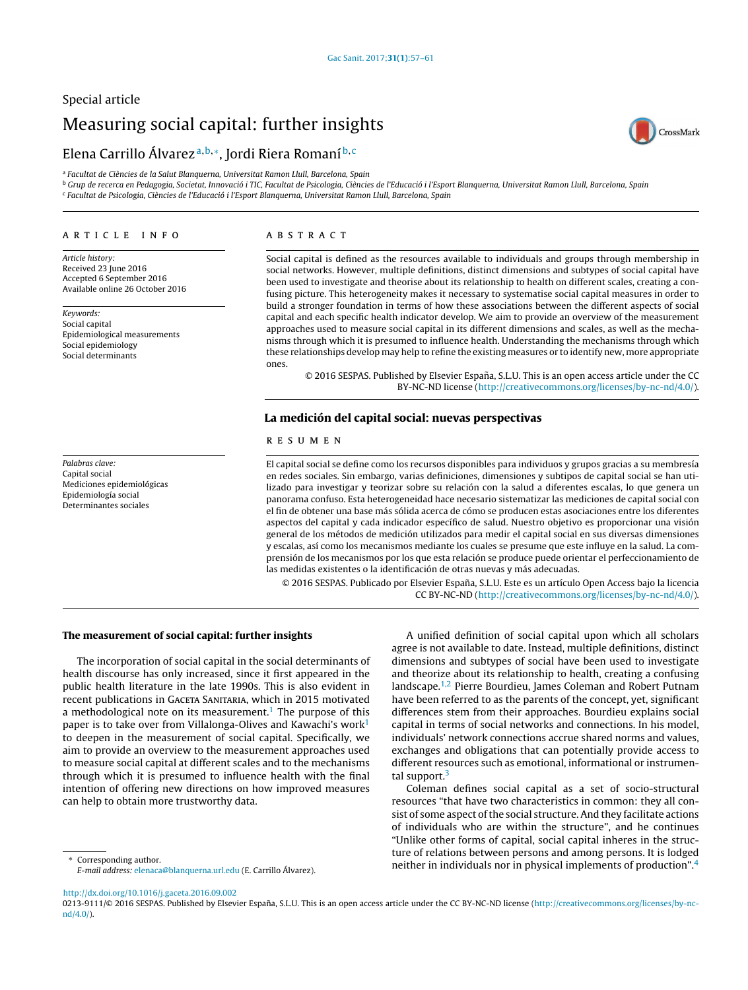# Special article Measuring social capital: further insights

## Elena Carrillo Álvarez <sup>a,b,</sup>\*, Jordi Riera Romaní <sup>b, c</sup>

<sup>a</sup> Facultat de Ciències de la Salut Blanquerna, Universitat Ramon Llull, Barcelona, Spain

<sup>b</sup> Grup de recerca en Pedagogia, Societat, Innovació i TIC, Facultat de Psicologia, Ciències de l'Educació i l'Esport Blanquerna, Universitat Ramon Llull, Barcelona, Spain <sup>c</sup> Facultat de Psicologia, Ciències de l'Educació i l'Esport Blanquerna, Universitat Ramon Llull, Barcelona, Spain

#### a r t i c l e i n f o

Article history: Received 23 June 2016 Accepted 6 September 2016 Available online 26 October 2016

Keywords: Social capital Epidemiological measurements Social epidemiology Social determinants

Palabras clave: Capital social Mediciones epidemiológicas Epidemiología social Determinantes sociales

#### A B S T R A C T

Social capital is defined as the resources available to individuals and groups through membership in social networks. However, multiple definitions, distinct dimensions and subtypes of social capital have been used to investigate and theorise about its relationship to health on different scales, creating a confusing picture. This heterogeneity makes it necessary to systematise social capital measures in order to build a stronger foundation in terms of how these associations between the different aspects of social capital and each specific health indicator develop. We aim to provide an overview of the measurement approaches used to measure social capital in its different dimensions and scales, as well as the mechanisms through which it is presumed to influence health. Understanding the mechanisms through which these relationships develop may help to refine the existing measures or to identify new, more appropriate ones.

© 2016 SESPAS. Published by Elsevier España, S.L.U. This is an open access article under the CC BY-NC-ND license [\(http://creativecommons.org/licenses/by-nc-nd/4.0/](http://creativecommons.org/licenses/by-nc-nd/4.0/)).

### La medición del capital social: nuevas perspectivas

#### r e s u m e n

El capital social se define como los recursos disponibles para individuos y grupos gracias a su membresía en redes sociales. Sin embargo, varias definiciones, dimensiones y subtipos de capital social se han utilizado para investigar y teorizar sobre su relación con la salud a diferentes escalas, lo que genera un panorama confuso. Esta heterogeneidad hace necesario sistematizar las mediciones de capital social con el fin de obtener una base más sólida acerca de cómo se producen estas asociaciones entre los diferentes aspectos del capital y cada indicador específico de salud. Nuestro objetivo es proporcionar una visión general de los métodos de medición utilizados para medir el capital social en sus diversas dimensiones y escalas, así como los mecanismos mediante los cuales se presume que este influye en la salud. La comprensión de los mecanismos por los que esta relación se produce puede orientar el perfeccionamiento de las medidas existentes o la identificación de otras nuevas y más adecuadas.

© 2016 SESPAS. Publicado por Elsevier España, S.L.U. Este es un artículo Open Access bajo la licencia CC BY-NC-ND [\(http://creativecommons.org/licenses/by-nc-nd/4.0/](http://creativecommons.org/licenses/by-nc-nd/4.0/)).

#### The measurement of social capital: further insights

The incorporation of social capital in the social determinants of health discourse has only increased, since it first appeared in the public health literature in the late 1990s. This is also evident in recent publications in GACETA SANITARIA, which in 2015 motivated a methodological note on its measurement.<sup>[1](#page-4-0)</sup> The purpose of this paper is to take over from Villalonga-Olives and Kawachi's work<sup>[1](#page-4-0)</sup> to deepen in the measurement of social capital. Specifically, we aim to provide an overview to the measurement approaches used to measure social capital at different scales and to the mechanisms through which it is presumed to influence health with the final intention of offering new directions on how improved measures can help to obtain more trustworthy data.

Corresponding author. E-mail address: [elenaca@blanquerna.url.edu](mailto:elenaca@blanquerna.url.edu) (E. Carrillo Álvarez).

A unified definition of social capital upon which all scholars agree is not available to date. Instead, multiple definitions, distinct dimensions and subtypes of social have been used to investigate and theorize about its relationship to health, creating a confusing landscape.[1,2](#page-4-0) Pierre Bourdieu, James Coleman and Robert Putnam have been referred to as the parents of the concept, yet, significant differences stem from their approaches. Bourdieu explains social capital in terms of social networks and connections. In his model, individuals' network connections accrue shared norms and values, exchanges and obligations that can potentially provide access to different resources such as emotional, informational or instrumen-tal support.<sup>[3](#page-4-0)</sup>

Coleman defines social capital as a set of socio-structural resources "that have two characteristics in common: they all consist of some aspect of the social structure. And they facilitate actions of individuals who are within the structure", and he continues "Unlike other forms of capital, social capital inheres in the structure of relations between persons and among persons. It is lodged neither in individuals nor in physical implements of production".[4](#page-4-0)

[http://dx.doi.org/10.1016/j.gaceta.2016.09.002](dx.doi.org/10.1016/j.gaceta.2016.09.002)

0213-9111/© 2016 SESPAS. Published by Elsevier España, S.L.U. This is an open access article under the CC BY-NC-ND license [\(http://creativecommons.org/licenses/by-nc](http://creativecommons.org/licenses/by-nc-nd/4.0/)[nd/4.0/\)](http://creativecommons.org/licenses/by-nc-nd/4.0/).

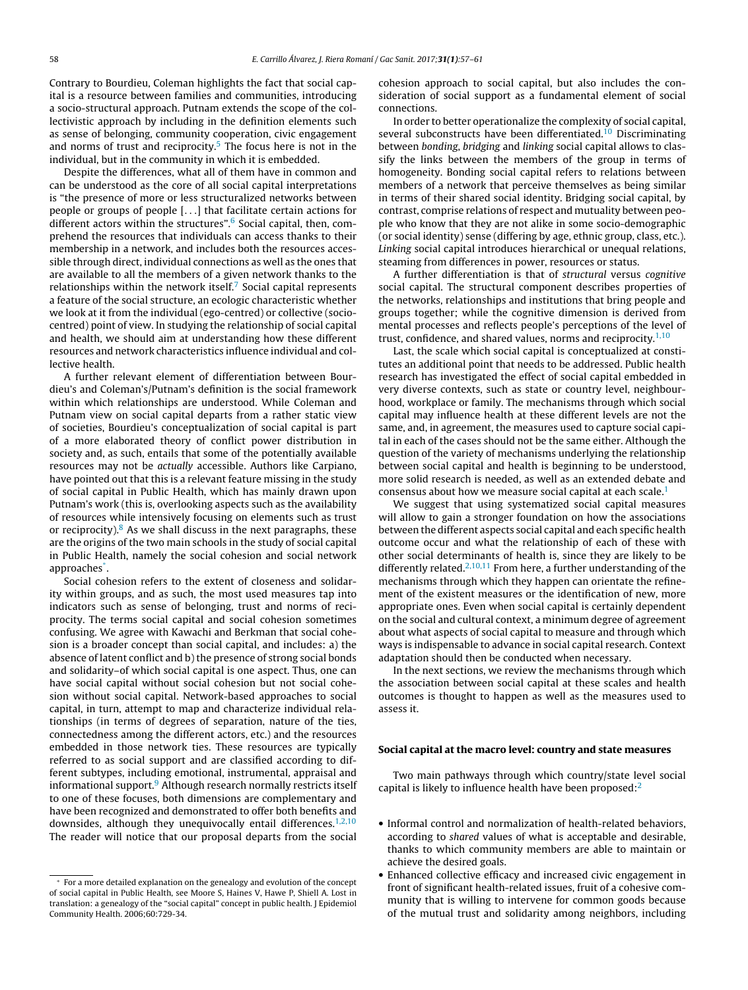Contrary to Bourdieu, Coleman highlights the fact that social capital is a resource between families and communities, introducing a socio-structural approach. Putnam extends the scope of the collectivistic approach by including in the definition elements such as sense of belonging, community cooperation, civic engagement and norms of trust and reciprocity. $5$  The focus here is not in the individual, but in the community in which it is embedded.

Despite the differences, what all of them have in common and can be understood as the core of all social capital interpretations is "the presence of more or less structuralized networks between people or groups of people [. . .] that facilitate certain actions for different actors within the structures".<sup>[6](#page-4-0)</sup> Social capital, then, comprehend the resources that individuals can access thanks to their membership in a network, and includes both the resources accessible through direct, individual connections as well as the ones that are available to all the members of a given network thanks to the relationships within the network itself.<sup>[7](#page-4-0)</sup> Social capital represents a feature of the social structure, an ecologic characteristic whether we look at it from the individual (ego-centred) or collective (sociocentred) point of view. In studying the relationship of social capital and health, we should aim at understanding how these different resources and network characteristics influence individual and collective health.

A further relevant element of differentiation between Bourdieu's and Coleman's/Putnam's definition is the social framework within which relationships are understood. While Coleman and Putnam view on social capital departs from a rather static view of societies, Bourdieu's conceptualization of social capital is part of a more elaborated theory of conflict power distribution in society and, as such, entails that some of the potentially available resources may not be actually accessible. Authors like Carpiano, have pointed out that this is a relevant feature missing in the study of social capital in Public Health, which has mainly drawn upon Putnam's work (this is, overlooking aspects such as the availability of resources while intensively focusing on elements such as trust or reciprocity). $8$  As we shall discuss in the next paragraphs, these are the origins of the two main schools in the study of social capital in Public Health, namely the social cohesion and social network approaches\* .

Social cohesion refers to the extent of closeness and solidarity within groups, and as such, the most used measures tap into indicators such as sense of belonging, trust and norms of reciprocity. The terms social capital and social cohesion sometimes confusing. We agree with Kawachi and Berkman that social cohesion is a broader concept than social capital, and includes: a) the absence of latent conflict and b) the presence of strong social bonds and solidarity–of which social capital is one aspect. Thus, one can have social capital without social cohesion but not social cohesion without social capital. Network-based approaches to social capital, in turn, attempt to map and characterize individual relationships (in terms of degrees of separation, nature of the ties, connectedness among the different actors, etc.) and the resources embedded in those network ties. These resources are typically referred to as social support and are classified according to different subtypes, including emotional, instrumental, appraisal and informational support.<sup>9</sup> [A](#page-4-0)lthough research normally restricts itself to one of these focuses, both dimensions are complementary and have been recognized and demonstrated to offer both benefits and downsides, although they unequivocally entail differences.<sup>[1,2,10](#page-4-0)</sup> The reader will notice that our proposal departs from the social

cohesion approach to social capital, but also includes the consideration of social support as a fundamental element of social connections.

In order to better operationalize the complexity of social capital, several subconstructs have been differentiated.<sup>[10](#page-4-0)</sup> Discriminating between bonding, bridging and linking social capital allows to classify the links between the members of the group in terms of homogeneity. Bonding social capital refers to relations between members of a network that perceive themselves as being similar in terms of their shared social identity. Bridging social capital, by contrast, comprise relations of respect and mutuality between people who know that they are not alike in some socio-demographic (or social identity) sense (differing by age, ethnic group, class, etc.). Linking social capital introduces hierarchical or unequal relations, steaming from differences in power, resources or status.

A further differentiation is that of structural versus cognitive social capital. The structural component describes properties of the networks, relationships and institutions that bring people and groups together; while the cognitive dimension is derived from mental processes and reflects people's perceptions of the level of trust, confidence, and shared values, norms and reciprocity. $1,10$ 

Last, the scale which social capital is conceptualized at constitutes an additional point that needs to be addressed. Public health research has investigated the effect of social capital embedded in very diverse contexts, such as state or country level, neighbourhood, workplace or family. The mechanisms through which social capital may influence health at these different levels are not the same, and, in agreement, the measures used to capture social capital in each of the cases should not be the same either. Although the question of the variety of mechanisms underlying the relationship between social capital and health is beginning to be understood, more solid research is needed, as well as an extended debate and consensus about how we measure social capital at each scale.[1](#page-4-0)

We suggest that using systematized social capital measures will allow to gain a stronger foundation on how the associations between the different aspects social capital and each specific health outcome occur and what the relationship of each of these with other social determinants of health is, since they are likely to be differently related.<sup>[2,10,11](#page-4-0)</sup> From here, a further understanding of the mechanisms through which they happen can orientate the refinement of the existent measures or the identification of new, more appropriate ones. Even when social capital is certainly dependent on the social and cultural context, a minimum degree of agreement about what aspects of social capital to measure and through which ways is indispensable to advance in social capital research. Context adaptation should then be conducted when necessary.

In the next sections, we review the mechanisms through which the association between social capital at these scales and health outcomes is thought to happen as well as the measures used to assess it.

#### Social capital at the macro level: country and state measures

Two main pathways through which country/state level social capital is likely to influence health have been proposed: $2$ 

- Informal control and normalization of health-related behaviors, according to shared values of what is acceptable and desirable, thanks to which community members are able to maintain or achieve the desired goals.
- Enhanced collective efficacy and increased civic engagement in front of significant health-related issues, fruit of a cohesive community that is willing to intervene for common goods because of the mutual trust and solidarity among neighbors, including

<sup>∗</sup> For a more detailed explanation on the genealogy and evolution of the concept of social capital in Public Health, see Moore S, Haines V, Hawe P, Shiell A. Lost in translation: a genealogy of the "social capital" concept in public health. J Epidemiol Community Health. 2006;60:729-34.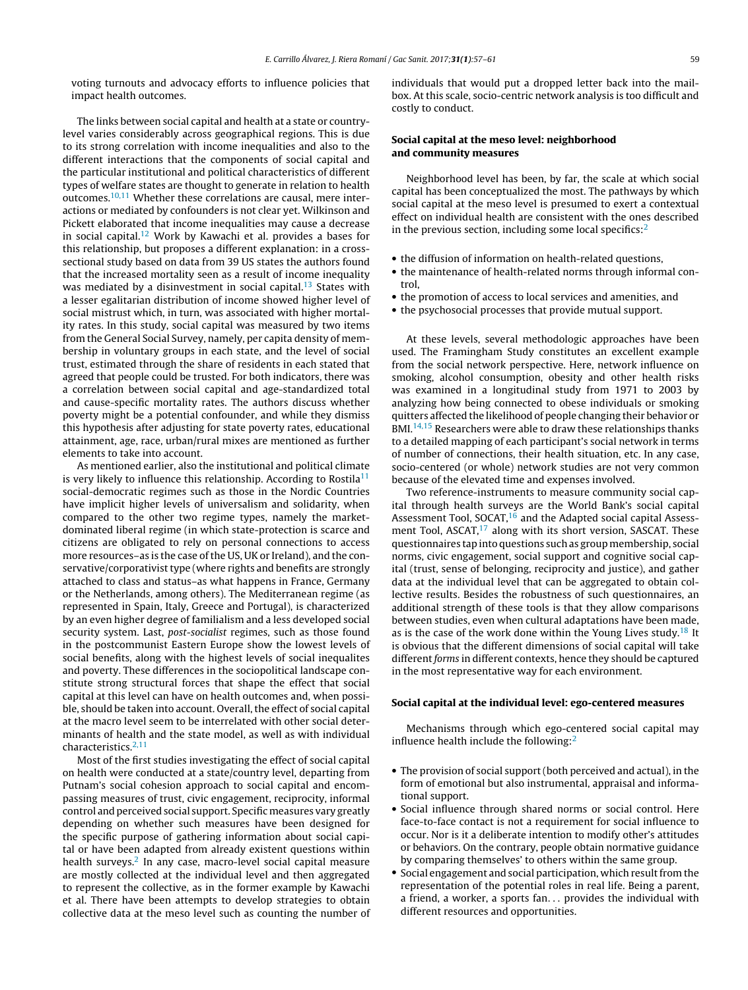voting turnouts and advocacy efforts to influence policies that impact health outcomes.

The links between social capital and health at a state or countrylevel varies considerably across geographical regions. This is due to its strong correlation with income inequalities and also to the different interactions that the components of social capital and the particular institutional and political characteristics of different types of welfare states are thought to generate in relation to health outcomes. $10,11$  Whether these correlations are causal, mere interactions or mediated by confounders is not clear yet. Wilkinson and Pickett elaborated that income inequalities may cause a decrease in social capital.[12](#page-4-0) Work by Kawachi et al. provides a bases for this relationship, but proposes a different explanation: in a crosssectional study based on data from 39 US states the authors found that the increased mortality seen as a result of income inequality was mediated by a disinvestment in social capital.<sup>[13](#page-4-0)</sup> States with a lesser egalitarian distribution of income showed higher level of social mistrust which, in turn, was associated with higher mortality rates. In this study, social capital was measured by two items from the General Social Survey, namely, per capita density of membership in voluntary groups in each state, and the level of social trust, estimated through the share of residents in each stated that agreed that people could be trusted. For both indicators, there was a correlation between social capital and age-standardized total and cause-specific mortality rates. The authors discuss whether poverty might be a potential confounder, and while they dismiss this hypothesis after adjusting for state poverty rates, educational attainment, age, race, urban/rural mixes are mentioned as further elements to take into account.

As mentioned earlier, also the institutional and political climate is very likely to influence this relationship. According to Rostila<sup>[11](#page-4-0)</sup> social-democratic regimes such as those in the Nordic Countries have implicit higher levels of universalism and solidarity, when compared to the other two regime types, namely the marketdominated liberal regime (in which state-protection is scarce and citizens are obligated to rely on personal connections to access more resources–as is the case of the US, UK or Ireland), and the conservative/corporativist type (where rights and benefits are strongly attached to class and status–as what happens in France, Germany or the Netherlands, among others). The Mediterranean regime (as represented in Spain, Italy, Greece and Portugal), is characterized by an even higher degree of familialism and a less developed social security system. Last, post-socialist regimes, such as those found in the postcommunist Eastern Europe show the lowest levels of social benefits, along with the highest levels of social inequalites and poverty. These differences in the sociopolitical landscape constitute strong structural forces that shape the effect that social capital at this level can have on health outcomes and, when possible, should be taken into account. Overall, the effect of social capital at the macro level seem to be interrelated with other social determinants of health and the state model, as well as with individual characteristics.[2,11](#page-4-0)

Most of the first studies investigating the effect of social capital on health were conducted at a state/country level, departing from Putnam's social cohesion approach to social capital and encompassing measures of trust, civic engagement, reciprocity, informal control and perceived social support. Specificmeasures vary greatly depending on whether such measures have been designed for the specific purpose of gathering information about social capital or have been adapted from already existent questions within health surveys.<sup>[2](#page-4-0)</sup> In any case, macro-level social capital measure are mostly collected at the individual level and then aggregated to represent the collective, as in the former example by Kawachi et al. There have been attempts to develop strategies to obtain collective data at the meso level such as counting the number of individuals that would put a dropped letter back into the mailbox. At this scale, socio-centric network analysis is too difficult and costly to conduct.

### Social capital at the meso level: neighborhood and community measures

Neighborhood level has been, by far, the scale at which social capital has been conceptualized the most. The pathways by which social capital at the meso level is presumed to exert a contextual effect on individual health are consistent with the ones described in the previous section, including some local specifics: $2$ 

- the diffusion of information on health-related questions,
- the maintenance of health-related norms through informal control,
- the promotion of access to local services and amenities, and
- the psychosocial processes that provide mutual support.

At these levels, several methodologic approaches have been used. The Framingham Study constitutes an excellent example from the social network perspective. Here, network influence on smoking, alcohol consumption, obesity and other health risks was examined in a longitudinal study from 1971 to 2003 by analyzing how being connected to obese individuals or smoking quitters affected the likelihood of people changing their behavior or BMI.<sup>[14,15](#page-4-0)</sup> Researchers were able to draw these relationships thanks to a detailed mapping of each participant's social network in terms of number of connections, their health situation, etc. In any case, socio-centered (or whole) network studies are not very common because of the elevated time and expenses involved.

Two reference-instruments to measure community social capital through health surveys are the World Bank's social capital Assessment Tool, SOCAT,<sup>[16](#page-4-0)</sup> and the Adapted social capital Assessment Tool,  $ASCAT$ ,  $17$  along with its short version, SASCAT. These questionnaires tap into questions such as group membership, social norms, civic engagement, social support and cognitive social capital (trust, sense of belonging, reciprocity and justice), and gather data at the individual level that can be aggregated to obtain collective results. Besides the robustness of such questionnaires, an additional strength of these tools is that they allow comparisons between studies, even when cultural adaptations have been made, as is the case of the work done within the Young Lives study.<sup>[18](#page-4-0)</sup> It is obvious that the different dimensions of social capital will take different forms in different contexts, hence they should be captured in the most representative way for each environment.

#### Social capital at the individual level: ego-centered measures

Mechanisms through which ego-centered social capital may influence health include the following: $<sup>2</sup>$  $<sup>2</sup>$  $<sup>2</sup>$ </sup>

- The provision of social support(both perceived and actual), in the form of emotional but also instrumental, appraisal and informational support.
- Social influence through shared norms or social control. Here face-to-face contact is not a requirement for social influence to occur. Nor is it a deliberate intention to modify other's attitudes or behaviors. On the contrary, people obtain normative guidance by comparing themselves' to others within the same group.
- Social engagement and social participation, which result from the representation of the potential roles in real life. Being a parent, a friend, a worker, a sports fan. . . provides the individual with different resources and opportunities.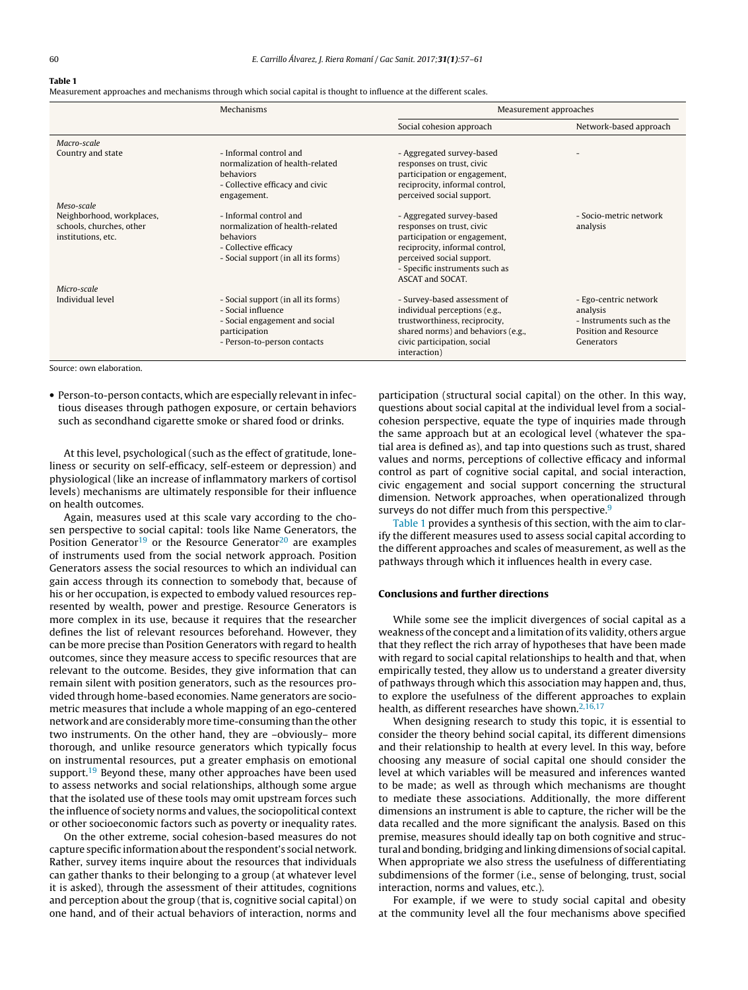#### Table 1

Measurement approaches and mechanisms through which social capital is thought to influence at the different scales.

|                                                                             | Mechanisms                                                                                                                                  | Measurement approaches                                                                                                                                                                                      |                                                                                                              |
|-----------------------------------------------------------------------------|---------------------------------------------------------------------------------------------------------------------------------------------|-------------------------------------------------------------------------------------------------------------------------------------------------------------------------------------------------------------|--------------------------------------------------------------------------------------------------------------|
|                                                                             |                                                                                                                                             | Social cohesion approach                                                                                                                                                                                    | Network-based approach                                                                                       |
| Macro-scale                                                                 |                                                                                                                                             |                                                                                                                                                                                                             |                                                                                                              |
| Country and state                                                           | - Informal control and<br>normalization of health-related<br>behaviors<br>- Collective efficacy and civic<br>engagement.                    | - Aggregated survey-based<br>responses on trust, civic<br>participation or engagement,<br>reciprocity, informal control,<br>perceived social support.                                                       |                                                                                                              |
| Meso-scale                                                                  |                                                                                                                                             |                                                                                                                                                                                                             |                                                                                                              |
| Neighborhood, workplaces,<br>schools, churches, other<br>institutions, etc. | - Informal control and<br>normalization of health-related<br>behaviors<br>- Collective efficacy<br>- Social support (in all its forms)      | - Aggregated survey-based<br>responses on trust, civic<br>participation or engagement,<br>reciprocity, informal control,<br>perceived social support.<br>- Specific instruments such as<br>ASCAT and SOCAT. | - Socio-metric network<br>analysis                                                                           |
| Micro-scale                                                                 |                                                                                                                                             |                                                                                                                                                                                                             |                                                                                                              |
| Individual level                                                            | - Social support (in all its forms)<br>- Social influence<br>- Social engagement and social<br>participation<br>- Person-to-person contacts | - Survey-based assessment of<br>individual perceptions (e.g.,<br>trustworthiness, reciprocity,<br>shared norms) and behaviors (e.g.,<br>civic participation, social<br>interaction)                         | - Ego-centric network<br>analysis<br>- Instruments such as the<br><b>Position and Resource</b><br>Generators |

Source: own elaboration.

• Person-to-person contacts, which are especially relevant in infectious diseases through pathogen exposure, or certain behaviors such as secondhand cigarette smoke or shared food or drinks.

At this level, psychological (such as the effect of gratitude, loneliness or security on self-efficacy, self-esteem or depression) and physiological (like an increase of inflammatory markers of cortisol levels) mechanisms are ultimately responsible for their influence on health outcomes.

Again, measures used at this scale vary according to the chosen perspective to social capital: tools like Name Generators, the Position Generator<sup>[19](#page-4-0)</sup> or the Resource Generator<sup>[20](#page-4-0)</sup> are examples of instruments used from the social network approach. Position Generators assess the social resources to which an individual can gain access through its connection to somebody that, because of his or her occupation, is expected to embody valued resources represented by wealth, power and prestige. Resource Generators is more complex in its use, because it requires that the researcher defines the list of relevant resources beforehand. However, they can be more precise than Position Generators with regard to health outcomes, since they measure access to specific resources that are relevant to the outcome. Besides, they give information that can remain silent with position generators, such as the resources provided through home-based economies. Name generators are sociometric measures that include a whole mapping of an ego-centered network and are considerably more time-consuming than the other two instruments. On the other hand, they are –obviously– more thorough, and unlike resource generators which typically focus on instrumental resources, put a greater emphasis on emotional support.<sup>[19](#page-4-0)</sup> Beyond these, many other approaches have been used to assess networks and social relationships, although some argue that the isolated use of these tools may omit upstream forces such the influence of society norms and values, the sociopolitical context or other socioeconomic factors such as poverty or inequality rates.

On the other extreme, social cohesion-based measures do not capture specific information about the respondent's social network. Rather, survey items inquire about the resources that individuals can gather thanks to their belonging to a group (at whatever level it is asked), through the assessment of their attitudes, cognitions and perception about the group (that is, cognitive social capital) on one hand, and of their actual behaviors of interaction, norms and

participation (structural social capital) on the other. In this way, questions about social capital at the individual level from a socialcohesion perspective, equate the type of inquiries made through the same approach but at an ecological level (whatever the spatial area is defined as), and tap into questions such as trust, shared values and norms, perceptions of collective efficacy and informal control as part of cognitive social capital, and social interaction, civic engagement and social support concerning the structural dimension. Network approaches, when operationalized through surveys do not differ much from this perspective.<sup>[9](#page-4-0)</sup>

Table 1 provides a synthesis of this section, with the aim to clarify the different measures used to assess social capital according to the different approaches and scales of measurement, as well as the pathways through which it influences health in every case.

#### Conclusions and further directions

While some see the implicit divergences of social capital as a weakness of the concept and a limitation of its validity, others argue that they reflect the rich array of hypotheses that have been made with regard to social capital relationships to health and that, when empirically tested, they allow us to understand a greater diversity of pathways through which this association may happen and, thus, to explore the usefulness of the different approaches to explain health, as different researches have shown.<sup>[2,16,17](#page-4-0)</sup>

When designing research to study this topic, it is essential to consider the theory behind social capital, its different dimensions and their relationship to health at every level. In this way, before choosing any measure of social capital one should consider the level at which variables will be measured and inferences wanted to be made; as well as through which mechanisms are thought to mediate these associations. Additionally, the more different dimensions an instrument is able to capture, the richer will be the data recalled and the more significant the analysis. Based on this premise, measures should ideally tap on both cognitive and structural and bonding, bridging and linking dimensions of social capital. When appropriate we also stress the usefulness of differentiating subdimensions of the former (i.e., sense of belonging, trust, social interaction, norms and values, etc.).

For example, if we were to study social capital and obesity at the community level all the four mechanisms above specified